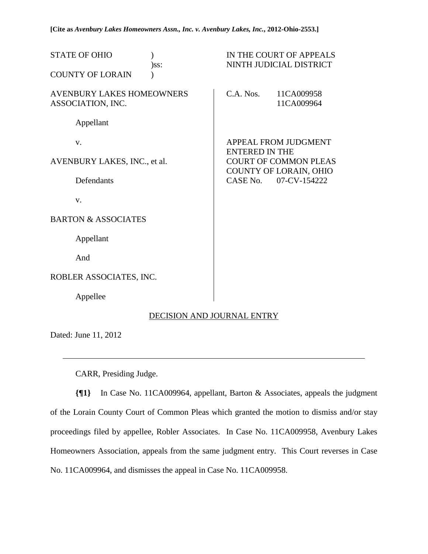**[Cite as** *Avenbury Lakes Homeowners Assn., Inc. v. Avenbury Lakes, Inc.***, 2012-Ohio-2553.]**

| <b>STATE OF OHIO</b><br>)ss:                          | IN THE COURT OF APPEALS<br>NINTH JUDICIAL DISTRICT                                                                                  |
|-------------------------------------------------------|-------------------------------------------------------------------------------------------------------------------------------------|
| <b>COUNTY OF LORAIN</b>                               |                                                                                                                                     |
| <b>AVENBURY LAKES HOMEOWNERS</b><br>ASSOCIATION, INC. | $C.A.$ Nos.<br>11CA009958<br>11CA009964                                                                                             |
| Appellant                                             |                                                                                                                                     |
| $V_{\cdot}$                                           | APPEAL FROM JUDGMENT<br><b>ENTERED IN THE</b><br><b>COURT OF COMMON PLEAS</b><br>COUNTY OF LORAIN, OHIO<br>CASE No.<br>07-CV-154222 |
| AVENBURY LAKES, INC., et al.                          |                                                                                                                                     |
| Defendants                                            |                                                                                                                                     |
| V.                                                    |                                                                                                                                     |
| <b>BARTON &amp; ASSOCIATES</b>                        |                                                                                                                                     |
| Appellant                                             |                                                                                                                                     |
| And                                                   |                                                                                                                                     |
| ROBLER ASSOCIATES, INC.                               |                                                                                                                                     |
| Appellee                                              |                                                                                                                                     |

# DECISION AND JOURNAL ENTRY

Dated: June 11, 2012

l

CARR, Presiding Judge.

**{¶1}** In Case No. 11CA009964, appellant, Barton & Associates, appeals the judgment of the Lorain County Court of Common Pleas which granted the motion to dismiss and/or stay proceedings filed by appellee, Robler Associates. In Case No. 11CA009958, Avenbury Lakes Homeowners Association, appeals from the same judgment entry. This Court reverses in Case No. 11CA009964, and dismisses the appeal in Case No. 11CA009958.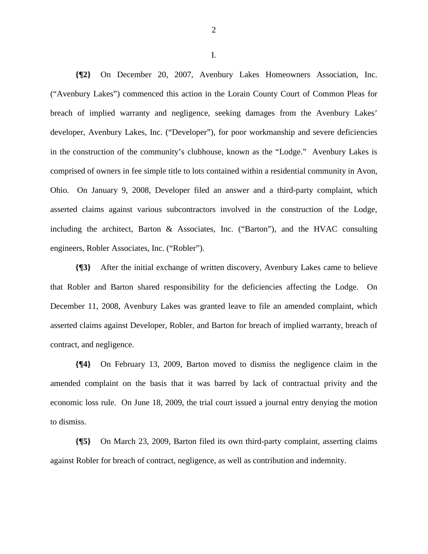**{¶2}** On December 20, 2007, Avenbury Lakes Homeowners Association, Inc. ("Avenbury Lakes") commenced this action in the Lorain County Court of Common Pleas for breach of implied warranty and negligence, seeking damages from the Avenbury Lakes' developer, Avenbury Lakes, Inc. ("Developer"), for poor workmanship and severe deficiencies in the construction of the community's clubhouse, known as the "Lodge." Avenbury Lakes is comprised of owners in fee simple title to lots contained within a residential community in Avon, Ohio. On January 9, 2008, Developer filed an answer and a third-party complaint, which asserted claims against various subcontractors involved in the construction of the Lodge, including the architect, Barton & Associates, Inc. ("Barton"), and the HVAC consulting engineers, Robler Associates, Inc. ("Robler").

**{¶3}** After the initial exchange of written discovery, Avenbury Lakes came to believe that Robler and Barton shared responsibility for the deficiencies affecting the Lodge. On December 11, 2008, Avenbury Lakes was granted leave to file an amended complaint, which asserted claims against Developer, Robler, and Barton for breach of implied warranty, breach of contract, and negligence.

**{¶4}** On February 13, 2009, Barton moved to dismiss the negligence claim in the amended complaint on the basis that it was barred by lack of contractual privity and the economic loss rule. On June 18, 2009, the trial court issued a journal entry denying the motion to dismiss.

**{¶5}** On March 23, 2009, Barton filed its own third-party complaint, asserting claims against Robler for breach of contract, negligence, as well as contribution and indemnity.

2

I.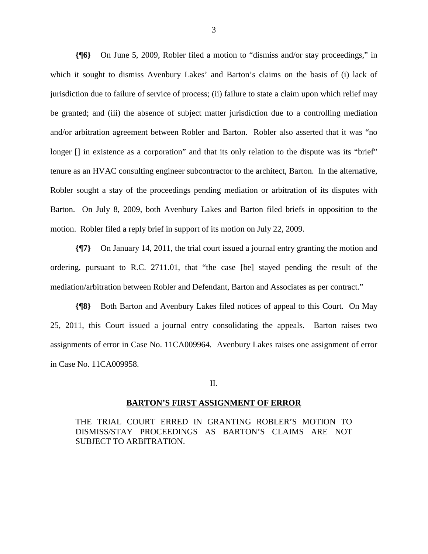**{¶6}** On June 5, 2009, Robler filed a motion to "dismiss and/or stay proceedings," in which it sought to dismiss Avenbury Lakes' and Barton's claims on the basis of (i) lack of jurisdiction due to failure of service of process; (ii) failure to state a claim upon which relief may be granted; and (iii) the absence of subject matter jurisdiction due to a controlling mediation and/or arbitration agreement between Robler and Barton. Robler also asserted that it was "no longer [] in existence as a corporation" and that its only relation to the dispute was its "brief" tenure as an HVAC consulting engineer subcontractor to the architect, Barton. In the alternative, Robler sought a stay of the proceedings pending mediation or arbitration of its disputes with Barton. On July 8, 2009, both Avenbury Lakes and Barton filed briefs in opposition to the motion. Robler filed a reply brief in support of its motion on July 22, 2009.

**{¶7}** On January 14, 2011, the trial court issued a journal entry granting the motion and ordering, pursuant to R.C. 2711.01, that "the case [be] stayed pending the result of the mediation/arbitration between Robler and Defendant, Barton and Associates as per contract."

**{¶8}** Both Barton and Avenbury Lakes filed notices of appeal to this Court. On May 25, 2011, this Court issued a journal entry consolidating the appeals. Barton raises two assignments of error in Case No. 11CA009964. Avenbury Lakes raises one assignment of error in Case No. 11CA009958.

## II.

#### **BARTON'S FIRST ASSIGNMENT OF ERROR**

THE TRIAL COURT ERRED IN GRANTING ROBLER'S MOTION TO DISMISS/STAY PROCEEDINGS AS BARTON'S CLAIMS ARE NOT SUBJECT TO ARBITRATION.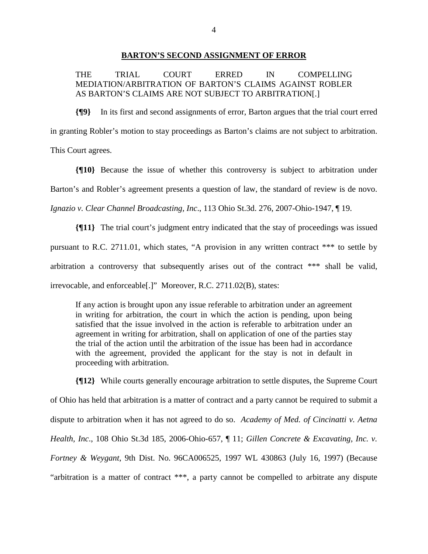## **BARTON'S SECOND ASSIGNMENT OF ERROR**

THE TRIAL COURT ERRED IN COMPELLING MEDIATION/ARBITRATION OF BARTON'S CLAIMS AGAINST ROBLER AS BARTON'S CLAIMS ARE NOT SUBJECT TO ARBITRATION[.]

**{¶9}** In its first and second assignments of error, Barton argues that the trial court erred in granting Robler's motion to stay proceedings as Barton's claims are not subject to arbitration. This Court agrees.

**{¶10}** Because the issue of whether this controversy is subject to arbitration under Barton's and Robler's agreement presents a question of law, the standard of review is de novo. *Ignazio v. Clear Channel Broadcasting, Inc*., 113 Ohio St.3d. 276, 2007-Ohio-1947, ¶ 19.

**{¶11}** The trial court's judgment entry indicated that the stay of proceedings was issued pursuant to R.C. 2711.01, which states, "A provision in any written contract \*\*\* to settle by arbitration a controversy that subsequently arises out of the contract \*\*\* shall be valid, irrevocable, and enforceable[.]" Moreover, R.C. 2711.02(B), states:

If any action is brought upon any issue referable to arbitration under an agreement in writing for arbitration, the court in which the action is pending, upon being satisfied that the issue involved in the action is referable to arbitration under an agreement in writing for arbitration, shall on application of one of the parties stay the trial of the action until the arbitration of the issue has been had in accordance with the agreement, provided the applicant for the stay is not in default in proceeding with arbitration.

**{¶12}** While courts generally encourage arbitration to settle disputes, the Supreme Court of Ohio has held that arbitration is a matter of contract and a party cannot be required to submit a dispute to arbitration when it has not agreed to do so. *Academy of Med. of Cincinatti v. Aetna Health, Inc*., 108 Ohio St.3d 185, 2006-Ohio-657, ¶ 11; *Gillen Concrete & Excavating, Inc. v. Fortney & Weygant*, 9th Dist. No. 96CA006525, 1997 WL 430863 (July 16, 1997) (Because "arbitration is a matter of contract \*\*\*, a party cannot be compelled to arbitrate any dispute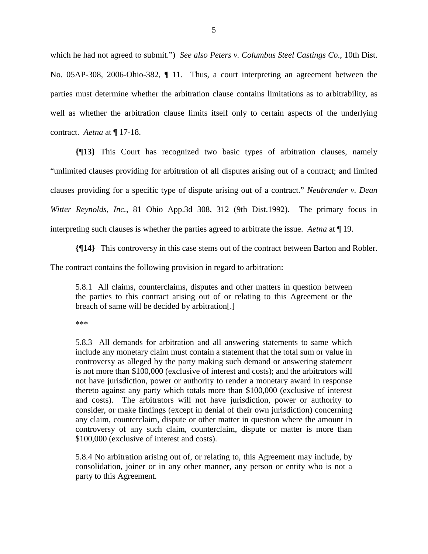which he had not agreed to submit.") *See also Peters v. Columbus Steel Castings Co*., 10th Dist. No. 05AP-308, 2006-Ohio-382, ¶ 11. Thus, a court interpreting an agreement between the parties must determine whether the arbitration clause contains limitations as to arbitrability, as well as whether the arbitration clause limits itself only to certain aspects of the underlying contract. *Aetna* at ¶ 17-18.

**{¶13}** This Court has recognized two basic types of arbitration clauses, namely "unlimited clauses providing for arbitration of all disputes arising out of a contract; and limited clauses providing for a specific type of dispute arising out of a contract." *Neubrander v. Dean Witter Reynolds, Inc.*, 81 Ohio App.3d 308, 312 (9th Dist.1992). The primary focus in interpreting such clauses is whether the parties agreed to arbitrate the issue. *Aetna* at ¶ 19.

**{¶14}** This controversy in this case stems out of the contract between Barton and Robler.

The contract contains the following provision in regard to arbitration:

5.8.1 All claims, counterclaims, disputes and other matters in question between the parties to this contract arising out of or relating to this Agreement or the breach of same will be decided by arbitration[.]

\*\*\*

5.8.3 All demands for arbitration and all answering statements to same which include any monetary claim must contain a statement that the total sum or value in controversy as alleged by the party making such demand or answering statement is not more than \$100,000 (exclusive of interest and costs); and the arbitrators will not have jurisdiction, power or authority to render a monetary award in response thereto against any party which totals more than \$100,000 (exclusive of interest and costs). The arbitrators will not have jurisdiction, power or authority to consider, or make findings (except in denial of their own jurisdiction) concerning any claim, counterclaim, dispute or other matter in question where the amount in controversy of any such claim, counterclaim, dispute or matter is more than \$100,000 (exclusive of interest and costs).

5.8.4 No arbitration arising out of, or relating to, this Agreement may include, by consolidation, joiner or in any other manner, any person or entity who is not a party to this Agreement.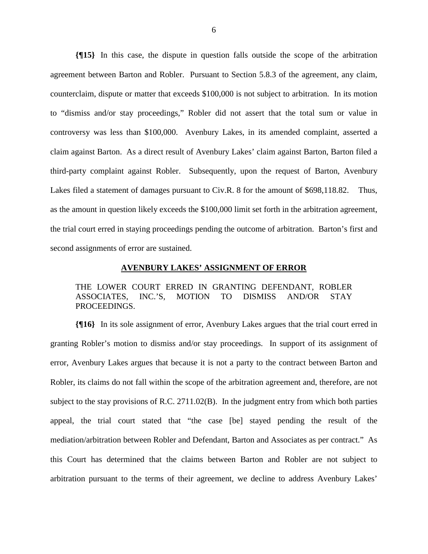**{¶15}** In this case, the dispute in question falls outside the scope of the arbitration agreement between Barton and Robler. Pursuant to Section 5.8.3 of the agreement, any claim, counterclaim, dispute or matter that exceeds \$100,000 is not subject to arbitration. In its motion to "dismiss and/or stay proceedings," Robler did not assert that the total sum or value in controversy was less than \$100,000. Avenbury Lakes, in its amended complaint, asserted a claim against Barton. As a direct result of Avenbury Lakes' claim against Barton, Barton filed a third-party complaint against Robler. Subsequently, upon the request of Barton, Avenbury Lakes filed a statement of damages pursuant to Civ.R. 8 for the amount of \$698,118.82. Thus, as the amount in question likely exceeds the \$100,000 limit set forth in the arbitration agreement, the trial court erred in staying proceedings pending the outcome of arbitration. Barton's first and second assignments of error are sustained.

## **AVENBURY LAKES' ASSIGNMENT OF ERROR**

THE LOWER COURT ERRED IN GRANTING DEFENDANT, ROBLER ASSOCIATES, INC.'S, MOTION TO DISMISS AND/OR STAY PROCEEDINGS.

**{¶16}** In its sole assignment of error, Avenbury Lakes argues that the trial court erred in granting Robler's motion to dismiss and/or stay proceedings. In support of its assignment of error, Avenbury Lakes argues that because it is not a party to the contract between Barton and Robler, its claims do not fall within the scope of the arbitration agreement and, therefore, are not subject to the stay provisions of R.C. 2711.02(B). In the judgment entry from which both parties appeal, the trial court stated that "the case [be] stayed pending the result of the mediation/arbitration between Robler and Defendant, Barton and Associates as per contract." As this Court has determined that the claims between Barton and Robler are not subject to arbitration pursuant to the terms of their agreement, we decline to address Avenbury Lakes'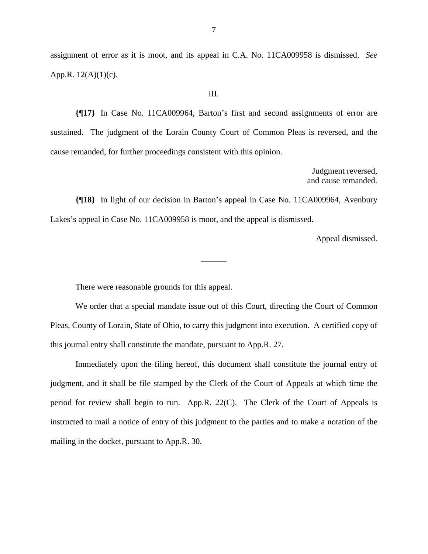assignment of error as it is moot, and its appeal in C.A. No. 11CA009958 is dismissed. *See* App.R. 12(A)(1)(c).

III.

**{¶17}** In Case No. 11CA009964, Barton's first and second assignments of error are sustained. The judgment of the Lorain County Court of Common Pleas is reversed, and the cause remanded, for further proceedings consistent with this opinion.

> Judgment reversed, and cause remanded.

**{¶18}** In light of our decision in Barton's appeal in Case No. 11CA009964, Avenbury Lakes's appeal in Case No. 11CA009958 is moot, and the appeal is dismissed.

Appeal dismissed.

There were reasonable grounds for this appeal.

 We order that a special mandate issue out of this Court, directing the Court of Common Pleas, County of Lorain, State of Ohio, to carry this judgment into execution. A certified copy of this journal entry shall constitute the mandate, pursuant to App.R. 27.

 Immediately upon the filing hereof, this document shall constitute the journal entry of judgment, and it shall be file stamped by the Clerk of the Court of Appeals at which time the period for review shall begin to run. App.R. 22(C). The Clerk of the Court of Appeals is instructed to mail a notice of entry of this judgment to the parties and to make a notation of the mailing in the docket, pursuant to App.R. 30.